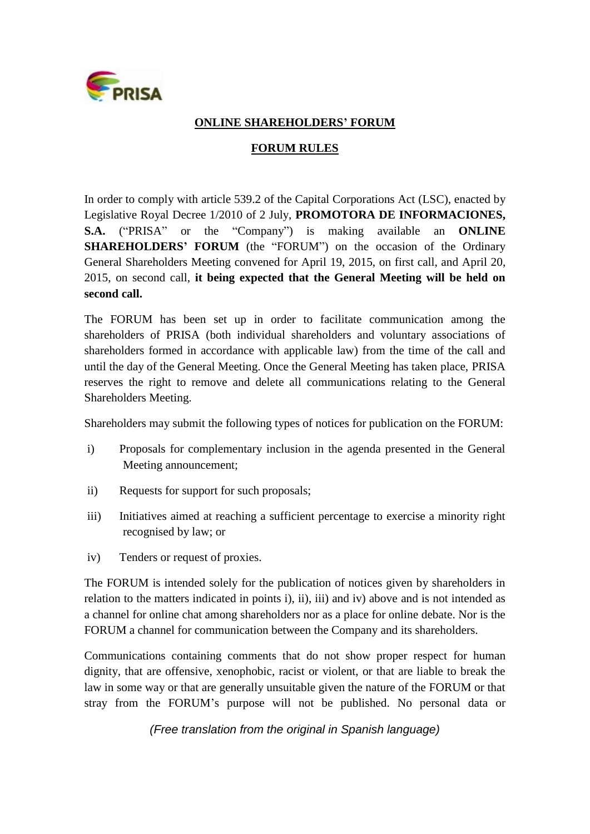

## **ONLINE SHAREHOLDERS' FORUM**

## **FORUM RULES**

In order to comply with article 539.2 of the Capital Corporations Act (LSC), enacted by Legislative Royal Decree 1/2010 of 2 July, **PROMOTORA DE INFORMACIONES, S.A.** ("PRISA" or the "Company") is making available an **ONLINE SHAREHOLDERS' FORUM** (the "FORUM") on the occasion of the Ordinary General Shareholders Meeting convened for April 19, 2015, on first call, and April 20, 2015, on second call, **it being expected that the General Meeting will be held on second call.**

The FORUM has been set up in order to facilitate communication among the shareholders of PRISA (both individual shareholders and voluntary associations of shareholders formed in accordance with applicable law) from the time of the call and until the day of the General Meeting. Once the General Meeting has taken place, PRISA reserves the right to remove and delete all communications relating to the General Shareholders Meeting.

Shareholders may submit the following types of notices for publication on the FORUM:

- i) Proposals for complementary inclusion in the agenda presented in the General Meeting announcement;
- ii) Requests for support for such proposals;
- iii) Initiatives aimed at reaching a sufficient percentage to exercise a minority right recognised by law; or
- iv) Tenders or request of proxies.

The FORUM is intended solely for the publication of notices given by shareholders in relation to the matters indicated in points i), ii), iii) and iv) above and is not intended as a channel for online chat among shareholders nor as a place for online debate. Nor is the FORUM a channel for communication between the Company and its shareholders.

Communications containing comments that do not show proper respect for human dignity, that are offensive, xenophobic, racist or violent, or that are liable to break the law in some way or that are generally unsuitable given the nature of the FORUM or that stray from the FORUM's purpose will not be published. No personal data or

*(Free translation from the original in Spanish language)*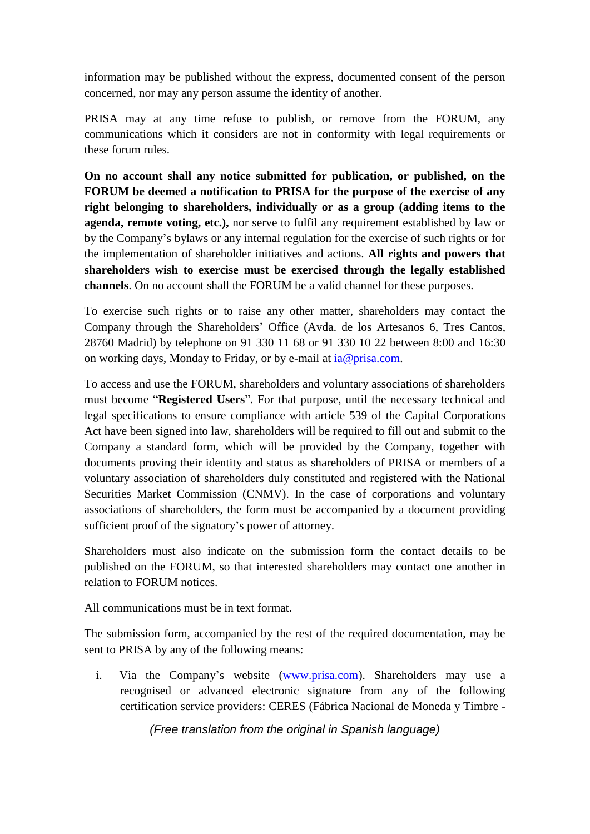information may be published without the express, documented consent of the person concerned, nor may any person assume the identity of another.

PRISA may at any time refuse to publish, or remove from the FORUM, any communications which it considers are not in conformity with legal requirements or these forum rules.

**On no account shall any notice submitted for publication, or published, on the FORUM be deemed a notification to PRISA for the purpose of the exercise of any right belonging to shareholders, individually or as a group (adding items to the agenda, remote voting, etc.),** nor serve to fulfil any requirement established by law or by the Company's bylaws or any internal regulation for the exercise of such rights or for the implementation of shareholder initiatives and actions. **All rights and powers that shareholders wish to exercise must be exercised through the legally established channels**. On no account shall the FORUM be a valid channel for these purposes.

To exercise such rights or to raise any other matter, shareholders may contact the Company through the Shareholders' Office (Avda. de los Artesanos 6, Tres Cantos, 28760 Madrid) by telephone on 91 330 11 68 or 91 330 10 22 between 8:00 and 16:30 on working days, Monday to Friday, or by e-mail at [ia@prisa.com.](mailto:ia@prisa.com)

To access and use the FORUM, shareholders and voluntary associations of shareholders must become "**Registered Users**". For that purpose, until the necessary technical and legal specifications to ensure compliance with article 539 of the Capital Corporations Act have been signed into law, shareholders will be required to fill out and submit to the Company a standard form, which will be provided by the Company, together with documents proving their identity and status as shareholders of PRISA or members of a voluntary association of shareholders duly constituted and registered with the National Securities Market Commission (CNMV). In the case of corporations and voluntary associations of shareholders, the form must be accompanied by a document providing sufficient proof of the signatory's power of attorney.

Shareholders must also indicate on the submission form the contact details to be published on the FORUM, so that interested shareholders may contact one another in relation to FORUM notices.

All communications must be in text format.

The submission form, accompanied by the rest of the required documentation, may be sent to PRISA by any of the following means:

i. Via the Company's website [\(www.prisa.com\)](http://www.prisa.com/). Shareholders may use a recognised or advanced electronic signature from any of the following certification service providers: CERES (Fábrica Nacional de Moneda y Timbre -

*(Free translation from the original in Spanish language)*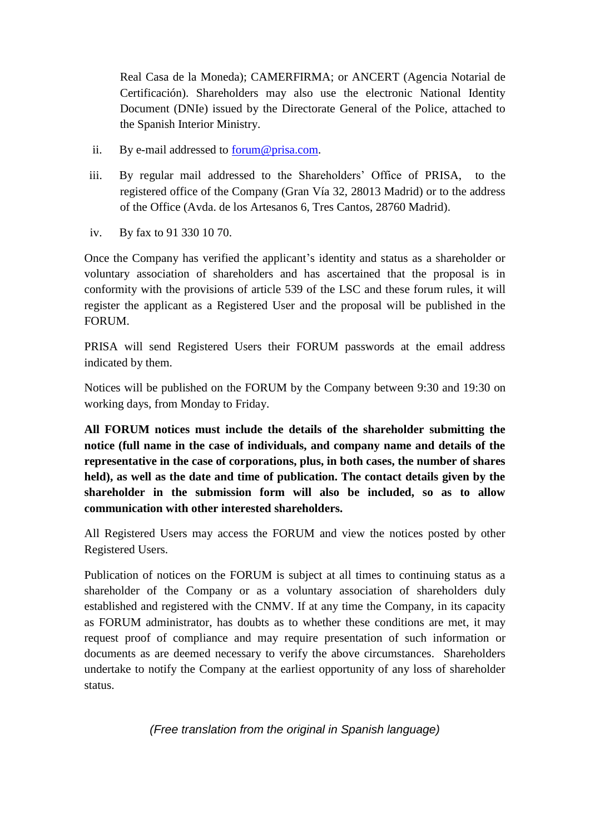Real Casa de la Moneda); CAMERFIRMA; or ANCERT (Agencia Notarial de Certificación). Shareholders may also use the electronic National Identity Document (DNIe) issued by the Directorate General of the Police, attached to the Spanish Interior Ministry.

- ii. By e-mail addressed to [forum@prisa.com.](mailto:foro@prisa.com)
- iii. By regular mail addressed to the Shareholders' Office of PRISA, to the registered office of the Company (Gran Vía 32, 28013 Madrid) or to the address of the Office (Avda. de los Artesanos 6, Tres Cantos, 28760 Madrid).
- iv. By fax to 91 330 10 70.

Once the Company has verified the applicant's identity and status as a shareholder or voluntary association of shareholders and has ascertained that the proposal is in conformity with the provisions of article 539 of the LSC and these forum rules, it will register the applicant as a Registered User and the proposal will be published in the FORUM.

PRISA will send Registered Users their FORUM passwords at the email address indicated by them.

Notices will be published on the FORUM by the Company between 9:30 and 19:30 on working days, from Monday to Friday.

**All FORUM notices must include the details of the shareholder submitting the notice (full name in the case of individuals, and company name and details of the representative in the case of corporations, plus, in both cases, the number of shares held), as well as the date and time of publication. The contact details given by the shareholder in the submission form will also be included, so as to allow communication with other interested shareholders.** 

All Registered Users may access the FORUM and view the notices posted by other Registered Users.

Publication of notices on the FORUM is subject at all times to continuing status as a shareholder of the Company or as a voluntary association of shareholders duly established and registered with the CNMV. If at any time the Company, in its capacity as FORUM administrator, has doubts as to whether these conditions are met, it may request proof of compliance and may require presentation of such information or documents as are deemed necessary to verify the above circumstances. Shareholders undertake to notify the Company at the earliest opportunity of any loss of shareholder status.

*(Free translation from the original in Spanish language)*